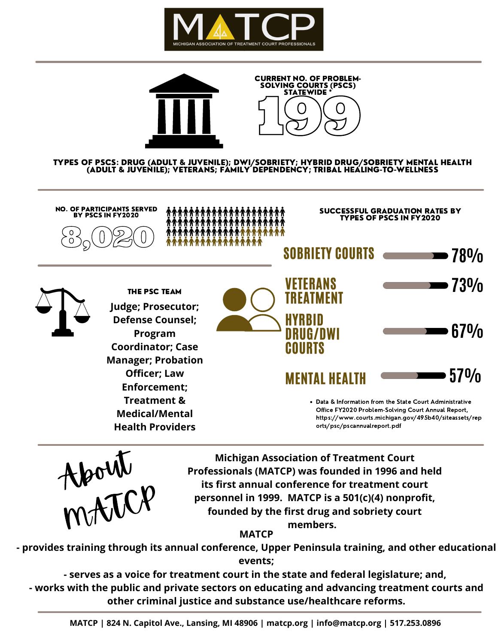



TYPES OF PSCS: DRUG (ADULT & JUVENILE); DWI/SOBRIETY; HYBRID DRUG/SOBRIETY MENTAL HEALTH (ADULT & JUVENILE); VETERANS; FAMILY DEPENDENCY; TRIBAL HEALING-TO-WELLNESS





**Michigan Association of Treatment Court Professionals (MATCP) was founded in 1996 and held its first annual conference for treatment court personnel in 1999. MATCP is a 501(c)(4) nonprofit, founded by the first drug and sobriety court**

> **members. MATCP**

**- provides training through its annual conference, Upper Peninsula training, and other educational events;**

**- serves as a voice for treatment court in the state and federal legislature; and, - works with the public and private sectors on educating and advancing treatment courts and other criminal justice and substance use/healthcare reforms.**